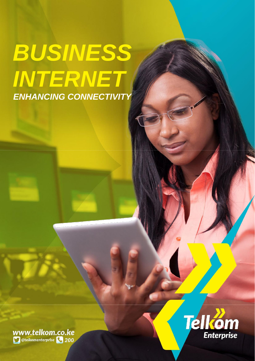# *BUSINESS INTERNET ENHANCING CONNECTIVITY*

**The WWW.telkom.co.ke**<br>Interprise **Road Place Road Contract Road Plaza** 

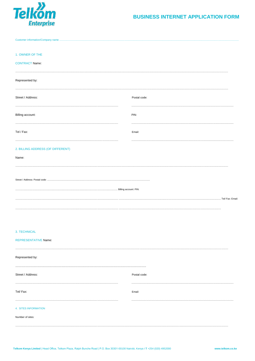

| 1. OWNER OF THE<br><b>CONTRACT Name:</b>   |              |  |
|--------------------------------------------|--------------|--|
| Represented by:                            |              |  |
| Street / Address:                          | Postal code: |  |
| Billing account:                           | PIN:         |  |
| Tel / Fax:                                 | Email:       |  |
| 2. BILLING ADDRESS (OF DIFFERENT)<br>Name: |              |  |
|                                            |              |  |
|                                            |              |  |
|                                            |              |  |
| 3. TECHNICAL<br>REPRESENTATIVE Name:       |              |  |
| Represented by:                            |              |  |
| <br>Street / Address:                      | Postal code: |  |
| Tel/Fax:                                   | Email:       |  |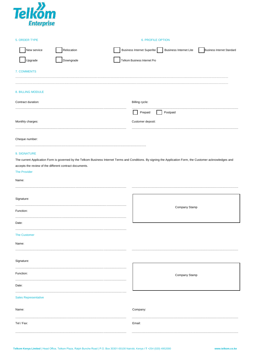

| 5. ORDER TYPE                       | <b>6. PROFILE OPTION</b>                                |  |                                                                                                                                                               |                                   |  |
|-------------------------------------|---------------------------------------------------------|--|---------------------------------------------------------------------------------------------------------------------------------------------------------------|-----------------------------------|--|
| New service                         | Relocation                                              |  | <b>Business Internet Superlite</b><br><b>Business Internet Lite</b>                                                                                           | <b>Business Internet Standard</b> |  |
| Upgrade                             | Downgrade                                               |  | Telkom Business Internet Pro                                                                                                                                  |                                   |  |
| 7. COMMENTS                         |                                                         |  |                                                                                                                                                               |                                   |  |
| 8. BILLING MODULE                   |                                                         |  |                                                                                                                                                               |                                   |  |
| Contract duration:                  |                                                         |  | Billing cycle:                                                                                                                                                |                                   |  |
|                                     |                                                         |  | Prepaid<br>Postpaid                                                                                                                                           |                                   |  |
| Monthly charges:                    |                                                         |  | Customer deposit:                                                                                                                                             |                                   |  |
| Cheque number:                      |                                                         |  |                                                                                                                                                               |                                   |  |
| 9. SIGNATURE<br><b>The Provider</b> | accepts the review of the different contract documents. |  | The current Application Form is governed by the Telkom Business Internet Terms and Conditions. By signing the Application Form, the Customer acknowledges and |                                   |  |
| Name:                               |                                                         |  |                                                                                                                                                               |                                   |  |
| Signature:                          |                                                         |  |                                                                                                                                                               |                                   |  |
| Function:                           |                                                         |  | Company Stamp                                                                                                                                                 |                                   |  |
| <br>Date:                           |                                                         |  |                                                                                                                                                               |                                   |  |
| <b>The Customer</b>                 |                                                         |  |                                                                                                                                                               |                                   |  |
| Name:                               |                                                         |  |                                                                                                                                                               |                                   |  |
| Signature:                          |                                                         |  |                                                                                                                                                               |                                   |  |
| Function:                           |                                                         |  | Company Stamp                                                                                                                                                 |                                   |  |
| Date:                               |                                                         |  |                                                                                                                                                               |                                   |  |
| <b>Sales Representative</b>         |                                                         |  |                                                                                                                                                               |                                   |  |
| Name:                               |                                                         |  | Company:                                                                                                                                                      |                                   |  |
| Tel / Fax:                          |                                                         |  | Email:                                                                                                                                                        |                                   |  |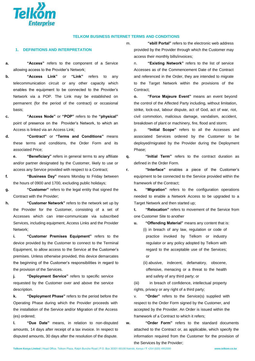

#### **TELKOM BUSINESS INTERNET TERMS AND CONDITIONS**

### **1. DEFINITIONS AND INTERPRETATION**

- **a. "Access"** refers to the component of a Service allowing access to the Provider's Network;
- **b. "Access Link"** or **"Link"** refers to any telecommunication circuit or any other capacity which enables the equipment to be connected to the Provider's Network via a POP. The Link may be established on permanent (for the period of the contract) or occasional basis;
- **c. "Access Node"** or **"POP"** refers to the **"physical"**  point of presence on the Provider's Network, to which an Access is linked via an Access Link;
- **d. "Contract"** or **"Terms and Conditions"** means these terms and conditions, the Order Form and its associated Price;

**e. "Beneficiary"** refers in general terms to any affiliate and/or partner designated by the Customer, likely to use or access any Service provided with respect to a Contract;

**f. "Business Day"** means Monday to Friday between the hours of 0900 and 1700, excluding public holidays;

- **g. "Customer"** refers to the legal entity that signed the Contract with the Provider;
- **h. "Customer Network"** refers to the network set up by the Provider for the Customer, consisting of a set of Accesses which can inter-communicate via subscribed Services, including equipment, Access Links and the Provider Network;
	- **i. "Customer Premises Equipment"** refers to the device provided by the Customer to connect to the Terminal Equipment, to allow access to the Service at the Customer's premises. Unless otherwise provided, this device demarcates the beginning of the Customer's responsibilities in regard to the provision of the Services.

**j. "Deployment Service"** refers to specific service requested by the Customer over and above the service description.

**k. "Deployment Phase"** refers to the period before the Operating Phase during which the Provider proceeds with the installation of the Service and/or Migration of the Access (es) ordered;

**l. "Due Date"** means, in relation to non-disputed amounts, 14 days after receipt of a tax invoice. In respect to disputed amounts, 30 days after the resolution of the dispute.

m. **"ebill Portal"** refers to the electronic web address provided by the Provider through which the Customer may access their monthly bills/invoices;

n. **"Existing Network"** refers to the list of service Accesses as of the Commencement Date of the Contract and referenced in the Order, they are intended to migrate to the Target Network within the provisions of the Contract;

**o. "Force Majeure Event"** means an event beyond the control of the Affected Party including, without limitation, strike, lock-out, labour dispute, act of God, act of war, riot, civil commotion, malicious damage, vandalism, accident, breakdown of plant or machinery, fire, flood and storm;

p. **"Initial Scope"** refers to all the Accesses and associated Services ordered by the Customer to be deployed/migrated by the Provider during the Deployment Phase;

**q. "Initial Term"** refers to the contract duration as defined in the Order Form.

**r. "Interface"** enables a piece of the Customer's equipment to be connected to the Service provided within the framework of the Contract;

**s. "Migration"** refers to the configuration operations needed to enable a Network Access to be upgraded to a Target Network and then started up;

**t. "Relocation"** refers to movement of the Service from one Customer Site to another

**u. "Offending Material"** means any content that is:

- (i) in breach of any law, regulation or code of practice invoked by Telkom or industry regulator or any policy adopted by Telkom with regard to the acceptable use of the Services; or
	- (ii) abusive, indecent, defamatory, obscene, offensive, menacing or a threat to the health and safety of any third party; or

(iii) in breach of confidence, intellectual property rights, privacy or any right of a third party;

v. **"Order"** refers to the Service(s) supplied with respect to the Order Form signed by the Customer, and accepted by the Provider. An Order is issued within the framework of a Contract to which it refers;

**w. "Order Form"** refers to the standard documents attached to the Contract or, as applicable, which specify the information required from the Customer for the provision of the Services by the Provider;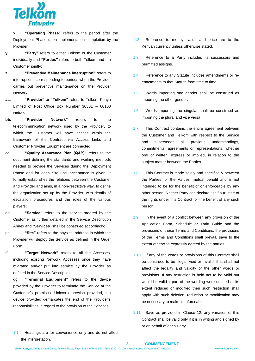

- **x. "Operating Phase"** refers to the period after the Deployment Phase upon implementation completion by the Provider;
- **y. "Party"** refers to either Telkom or the Customer individually and **"Parties"** refers to both Telkom and the Customer jointly;
- **z. "Preventive Maintenance Interruption" r**efers to interruptions corresponding to periods when the Provider carries out preventive maintenance on the Provider Network.
- **aa. "Provider"** or **"Telkom"** refers to Telkom Kenya Limited of Post Office Box Number 30301 – 00100 Nairobi
- **bb. "Provider Network"** refers to the telecommunication network used by the Provider, to which the Customer will have access within the framework of the Contract via Access Links and Customer Provider Equipment are connected;
- cc. **"Quality Assurance Plan (QAP)"** refers to the document defining the standards and working methods needed to provide the Services during the Deployment Phase and for each Site until acceptance is given. It formally establishes the relations between the Customer and Provider and aims, in a non-restrictive way, to define the organization set up by the Provider, with details of escalation procedures and the roles of the various players;
- dd. **"Service"** refers to the service ordered by the Customer as further detailed in the Service Description Annex and "**Services**" shall be construed accordingly;
- ee. **"Site"** refers to the physical address in which the Provider will deploy the Service as defined in the Order Form;
- ff. **"Target Network"** refers to all the Accesses, including existing Network Accesses once they have migrated and/or put into service by the Provider as defined in the Service Description;

gg. **"Terminal Equipment"** refers to the device provided by the Provider to terminate the Service at the Customer's premises. Unless otherwise provided, the device provided demarcates the end of the Provider's responsibilities in regard to the provision of the Services.

- 1.2 Reference to money, value and price are to the Kenyan currency unless otherwise stated.
- 1.3 Reference to a Party includes its successors and permitted assigns.
- 1.4 Reference to any Statute includes amendments or reenactments to that Statute from time to time.
- 1.5 Words importing one gender shall be construed as importing the other gender.
- 1.6 Words importing the singular shall be construed as importing the plural and vice versa.
- 1.7 This Contract contains the entire agreement between the Customer and Telkom with respect to the Service and supersedes all previous understandings, commitments, agreements or representations, whether oral or written, express or implied, in relation to the subject matter between the Parties.
- 1.8 This Contract is made solely and specifically between the Parties for the Parties' mutual benefit and is not intended to be for the benefit of or enforceable by any other person. Neither Party can declare itself a trustee of the rights under this Contract for the benefit of any such person.
- 1.9 In the event of a conflict between any provision of the Application Form, Schedule or Tariff Guide and the provisions of these Terms and Conditions, the provisions of the Terms and Conditions shall prevail, save to the extent otherwise expressly agreed by the parties.
- 1.10 If any of the words or provisions of this Contract shall be construed to be illegal, void or invalid, that shall not affect the legality and validity of the other words or provisions. If any restriction is held not to be valid but would be valid if part of the wording were deleted or its extent reduced or modified then such restriction shall apply with such deletion, reduction or modification may be necessary to make it enforceable.
- 1.11 Save as provided in Clause 12, any variation of this Contract shall be valid only if it is in writing and signed by or on behalf of each Party.
- 1.1 Headings are for convenience only and do not affect the interpretation.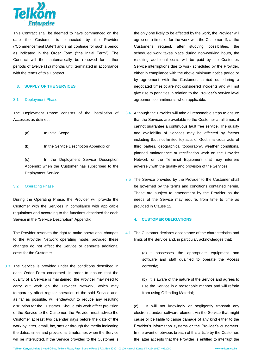

This Contract shall be deemed to have commenced on the date the Customer is connected by the Provider ("Commencement Date") and shall continue for such a period as indicated in the Order Form ("the Initial Term"). The Contract will then automatically be renewed for further periods of twelve (12) months until terminated in accordance with the terms of this Contract.

# **3. SUPPLY OF THE SERVICES**

# 3.1 Deployment Phase

The Deployment Phase consists of the installation of Accesses as defined:

(a) In Initial Scope.

(b) In the Service Description Appendix or,

(c) In the Deployment Service Description Appendix when the Customer has subscribed to the Deployment Service.

# 3.2 Operating Phase

During the Operating Phase, the Provider will provide the Customer with the Services in compliance with applicable regulations and according to the functions described for each Service in the "Service Description" Appendix.

The Provider reserves the right to make operational changes to the Provider Network operating mode, provided these changes do not affect the Service or generate additional costs for the Customer.

3.3 The Service is provided under the conditions described in each Order Form concerned. In order to ensure that the quality of a Service is maintained, the Provider may need to carry out work on the Provider Network, which may temporarily affect regular operation of the said Service and, as far as possible, will endeavour to reduce any resulting disruption for the Customer. Should this work affect provision of the Service to the Customer, the Provider must advise the Customer at least two calendar days before the date of the work by letter, email, fax, sms or through the media indicating the dates, times and provisional timeframes when the Service will be interrupted. If the Service provided to the Customer is the only one likely to be affected by the work, the Provider will agree on a timeslot for the work with the Customer. If, at the Customer's request, after studying possibilities, the scheduled work takes place during non-working hours, the resulting additional costs will be paid by the Customer. Service interruptions due to work scheduled by the Provider, either in compliance with the above minimum notice period or by agreement with the Customer, carried our during a negotiated timeslot are not considered incidents and will not give rise to penalties in relation to the Provider's service level agreement commitments when applicable.

- 3.4 Although the Provider will take all reasonable steps to ensure that the Services are available to the Customer at all times, it cannot guarantee a continuous fault free service. The quality and availability of Services may be affected by factors including (but not limited to) acts of God, malicious acts of third parties, geographical topography, weather conditions, planned maintenance or rectification work on the Provider Network or the Terminal Equipment that may interfere adversely with the quality and provision of the Services.
- 3.5 The Service provided by the Provider to the Customer shall be governed by the terms and conditions contained herein. These are subject to amendment by the Provider as the needs of the Service may require, from time to time as provided in Clause 12.

# **4. CUSTOMER OBLIGATIONS**

4.1 The Customer declares acceptance of the characteristics and limits of the Service and, in particular, acknowledges that:

> (a) It possesses the appropriate equipment and software and staff qualified to operate the Access correctly;

> (b) It is aware of the nature of the Service and agrees to use the Service in a reasonable manner and will refrain from using Offending Material;

(c) It will not knowingly or negligently transmit any electronic and/or software element via the Service that might cause or be liable to cause damage of any kind either to the Provider's information systems or the Provider's customers. In the event of obvious breach of this article by the Customer, the latter accepts that the Provider is entitled to interrupt the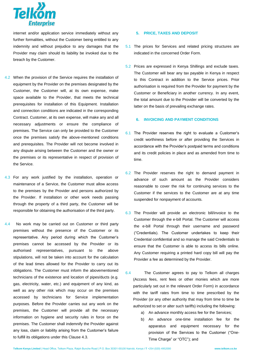

internet and/or application service immediately without any further formalities, without the Customer being entitled to any indemnity and without prejudice to any damages that the Provider may claim should its liability be invoked due to the breach by the Customer.

- 4.2 When the provision of the Service requires the installation of equipment by the Provider on the premises designated by the Customer, the Customer will, at its own expense, make space available to the Provider, that meets the technical prerequisites for installation of this Equipment. Installation and connection conditions are indicated in the corresponding Contract. Customer, at its own expense, will make any and all necessary adjustments or ensure the compliance of premises. The Service can only be provided to the Customer once the premises satisfy the above-mentioned conditions and prerequisites. The Provider will not become involved in any dispute arising between the Customer and the owner or the premises or its representative in respect of provision of the Service.
- 4.3 For any work justified by the installation, operation or maintenance of a Service, the Customer must allow access to the premises by the Provider and persons authorized by the Provider. If installation or other work needs passing through the property of a third party, the Customer will be responsible for obtaining the authorisation of the third party.
- 4.4 No work may be carried out on Customer or third party premises without the presence of the Customer or its representative. Any period during which the Customer's premises cannot be accessed by the Provider or its authorised representatives, pursuant to the above stipulations, will not be taken into account for the calculation of the lead times allowed for the Provider to carry out its obligations. The Customer must inform the abovementioned technicians of the existence and location of pipes/ducts (e.g. gas, electricity, water, etc.) and equipment of any kind, as well as any other risk which may occur on the premises accessed by technicians for Service implementation purposes. Before the Provider carries out any work on the premises, the Customer will provide all the necessary information on hygiene and security rules in force on the premises. The Customer shall indemnify the Provider against any loss, claim or liability arising from the Customer's failure to fulfill its obligations under this Clause 4.3.

### **5. PRICE, TAXES AND DEPOSIT**

- 5.1 The prices for Services and related pricing structures are indicated in the concerned Order Form.
- 5.2 Prices are expressed in Kenya Shillings and exclude taxes. The Customer will bear any tax payable in Kenya in respect to this Contract in addition to the Service prices. Prior authorisation is required from the Provider for payment by the Customer or Beneficiary in another currency. In any event, the total amount due to the Provider will be converted by the latter on the basis of prevailing exchange rates.

# **6. INVOICING AND PAYMENT CONDITIONS**

- 6.1 The Provider reserves the right to evaluate a Customer's credit worthiness before or after providing the Services in accordance with the Provider's postpaid terms and conditions and its credit policies in place and as amended from time to time.
- 6.2 The Provider reserves the right to demand payment in advance of such amount as the Provider considers reasonable to cover the risk for continuing services to the Customer if the services to the Customer are at any time suspended for nonpayment of accounts.
- 6.3 The Provider will provide an electronic bill/invoice to the Customer through the e-bill Portal. The Customer will access the e-bill Portal through their username and password ("Credentials). The Customer undertakes to keep their Credential confidential and so manage the said Credentials to ensure that the Customer is able to access its bills online. Any Customer requiring a printed hard copy bill will pay the Provider a fee as determined by the Provider.

6.4 The Customer agrees to pay to Telkom all charges (Access fees, rent fees or other monies which are more particularly set out in the relevant Order Form) in accordance with the tariff rates from time to time prescribed by the Provider (or any other authority that may from time to time be authorized to set or alter such tariffs) including the following:

- a) An advance monthly access fee for the Services;
- b) An advance one-time installation fee for the apparatus and equipment necessary for the provision of the Services to the Customer ("One-Time Charge" or "OTC"); and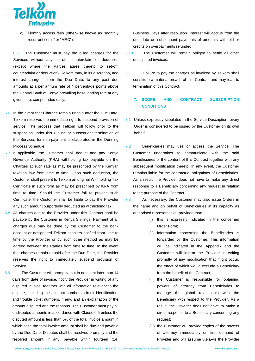

c) Monthly access fees (otherwise known as "monthly recurrent costs" or "MRC").

6.5 The Customer must pay the billed charges for the Services without any set-off, counterclaim or deduction (except where the Parties agree thereto to set-off, counterclaim or deduction). Telkom may, in its discretion, add interest charges, from the Due Date, to any past due amounts at a per annum rate of 4 percentage points above the Central Bank of Kenya prevailing base lending rate at any given time, compounded daily.

- 6.6 In the event that Charges remain unpaid after the Due Date, Telkom reserves the immediate right to suspend provision of service. The process that Telkom will follow prior to the suspension under this Clause or subsequent termination of the Services for non-payment is elaborated in the Dunning Process Schedule.
- 6.7 If applicable, the Customer shall deduct and pay Kenya Revenue Authority (KRA) withholding tax payable on the Charges at such rate as may be prescribed by the Kenyan taxation law from time to time. Upon such deduction, the Customer shall present to Telkom an original Withholding Tax Certificate in such form as may be prescribed by KRA from time to time. Should the Customer fail to provide such Certificate, the Customer shall be liable to pay the Provider any such amount purportedly deducted as withholding tax.
- 6.8 All charges due to the Provider under this Contract shall be payable by the Customer in Kenya Shillings. Payment of all charges due may be done by the Customer to the bank account or designated Telkom cashiers notified from time to time by the Provider or by such other method as may be agreed between the Parties from time to time. In the event that charges remain unpaid after the Due Date, the Provider reserves the right to immediately suspend provision of Service.
- 6.9 The Customer will promptly, but in no event later than 14 days from date of invoice, notify the Provider in writing of any disputed invoice, together with all information relevant to the dispute, including the account numbers, circuit identification, and trouble ticket numbers, if any, and an explanation of the amount disputed and the reasons. The Customer must pay all undisputed amounts in accordance with Clause 6.5 unless the disputed amount is less than 5% of the total invoice amount in which case the total invoice amount shall be due and payable by the Due Date. Disputes shall be resolved promptly and the resolved amount, if any, payable within fourteen (14)

Business Days after resolution. Interest will accrue from the due date on subsequent payments of amounts withheld or credits on overpayments refunded.

- 6.10 The Customer will remain obliged to settle all other undisputed invoices.
- 6.11 Failure to pay the charges as invoiced by Telkom shall constitute a material breach of this Contract and may lead to termination of this Contract.

# **7. SCOPE AND CONTRACT SUBSCRIPTION CONDITIONS**

- 7.1 Unless expressly stipulated in the Service Description, every Order is considered to be issued by the Customer on its own behalf.
- 7.2 Beneficiaries may use or access the Service. The Customer undertakes to communicate with the said Beneficiaries of the content of this Contract together with any subsequent modification thereto. In any event, the Customer remains liable for the contractual obligations of Beneficiaries. As a result, the Provider does not have to make any direct response to a Beneficiary concerning any request in relation to the purpose of the Contract.
- 

7.3 As necessary, the Customer may also issue Orders in the name and on behalf of Beneficiaries in its capacity as authorised representative, provided that:

- (i) this is expressly indicated in the concerned Order Form;
- (ii) information concerning the Beneficiaries is forwarded by the Customer. This information will be indicated in the Appendix and the Customer will inform the Provider in writing promptly of any modification that might occur, the effect of which would exclude a Beneficiary from the benefit of the Contract;
- (iii) the Customer is responsible for obtaining powers of attorney from Beneficiaries to manage the global relationship with the Beneficiary with respect to the Provider. As a result, the Provider does not have to make a direct response to a Beneficiary concerning any request;
- (iv) the Customer will provide copies of the powers of attorney immediately on first demand of Provider and will assume vis-à-vis the Provider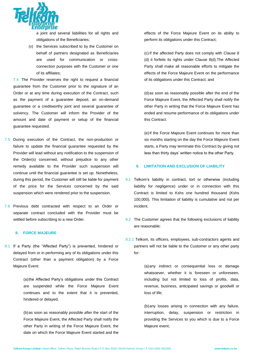

a joint and several liabilities for all rights and obligations of the Beneficiaries;

(v) the Services subscribed to by the Customer on behalf of partners designated as Beneficiaries are used for communication or crossconnection purposes with the Customer or one of its affiliates;

7.4 The Provider reserves the right to request a financial guarantee from the Customer prior to the signature of an Order or at any time during execution of the Contract, such as the payment of a guarantee deposit, an on-demand guarantee or a creditworthy joint and several guarantee of solvency. The Customer will inform the Provider of the amount and date of payment or setup of the financial guarantee requested.

- 7.5 During execution of the Contract, the non-production or failure to update the financial guarantee requested by the Provider will lead without any notification to the suspension of the Order(s) concerned, without prejudice to any other remedy available to the Provider such suspension will continue until the financial guarantee is set up. Nonetheless, during this period, the Customer will still be liable for payment of the price for the Services concerned by the said suspension which were rendered prior to the suspension.
- 7.6 Previous debt contracted with respect to an Order or separate contract concluded with the Provider must be settled before subscribing to a new Order.

# **8. FORCE MAJEURE**

8.1 If a Party (the "Affected Party") is prevented, hindered or delayed from or in performing any of its obligations under this Contract (other than a payment obligation) by a Force Majeure Event:

> (a)the Affected Party's obligations under this Contract are suspended while the Force Majeure Event continues and to the extent that it is prevented, hindered or delayed;

> (b)as soon as reasonably possible after the start of the Force Majeure Event, the Affected Party shall notify the other Party in writing of the Force Majeure Event, the date on which the Force Majeure Event started and the

effects of the Force Majeure Event on its ability to perform its obligations under this Contract;

(c)If the affected Party does not comply with Clause 8 (d) it forfeits its rights under Clause 8(d).The Affected Party shall make all reasonable efforts to mitigate the effects of the Force Majeure Event on the performance of its obligations under this Contract; and

(d)as soon as reasonably possible after the end of the Force Majeure Event, the Affected Party shall notify the other Party in writing that the Force Majeure Event has ended and resume performance of its obligations under this Contract.

(e)If the Force Majeure Event continues for more than six months starting on the day the Force Majeure Event starts, a Party may terminate this Contract by giving not less than thirty days' written notice to the other Party.

# **9. LIMITATION AND EXCLUSION OF LIABILITY**

- 9.1 Telkom's liability in contract, tort or otherwise (including liability for negligence) under or in connection with this Contract is limited to Kshs one hundred thousand (Kshs 100,000). This limitation of liability is cumulative and not per incident.
- 9.2 The Customer agrees that the following exclusions of liability are reasonable:
- 9.2.1 Telkom, its officers, employees, sub-contractors agents and partners will not be liable to the Customer or any other party for:

(a)any indirect or consequential loss or damage whatsoever, whether it is foreseen or unforeseen, including but not limited to loss of profits, data, revenue, business, anticipated savings or goodwill or loss of life;

(b)any losses arising in connection with any failure, interruption, delay, suspension or restriction in providing the Services to you which is due to a Force Majeure event;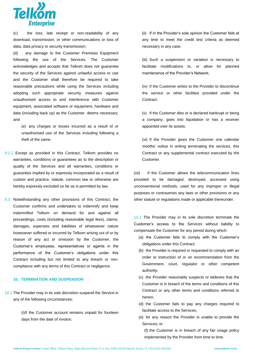

(c) the loss, late receipt or non-readability of any download, transmission, or other communications or loss of data, data privacy or security transmission;

(d) any damage to the Customer Premises Equipment following the use of the Services. The Customer acknowledges and accepts that Telkom does not guarantee the security of the Services against unlawful access or use and the Customer shall therefore be required to take reasonable precautions while using the Services including adopting such appropriate security measures against unauthorised access to and interference with Customer equipment, associated software or equipment, hardware and data (including back up) as the Customer deems necessary; and

(e) any charges or losses incurred as a result of or unauthorised use of the Services including following a theft of the same.

- 9.2.2 Except as provided in this Contract, Telkom provides no warranties, conditions or guarantees as to the description or quality of the Services and all warranties, conditions or guaranties implied by or expressly incorporated as a result of custom and practice, statute, common law or otherwise are hereby expressly excluded so far as is permitted by law.
- 9.3 Notwithstanding any other provisions of this Contract, the Customer confirms and undertakes to indemnify and keep indemnified Telkom on demand for and against all proceedings, costs (including reasonable legal fees), claims, damages, expenses and liabilities of whatsoever nature howsoever suffered or incurred by Telkom arising out of or by reason of any act or omission by the Customer, the Customer's employees, representatives or agents in the performance of the Customer's obligations under this Contract including but not limited to any breach or noncompliance with any terms of this Contract or negligence.

# **10. TERMINATION AND SUSPENSION**

10.1 The Provider may in its sole discretion suspend the Service in any of the following circumstances:

> (i)If the Customer account remains unpaid for fourteen days from the date of invoice;

(ii) If in the Provider's sole opinion the Customer fails at any time to meet the credit test criteria as deemed necessary in any case.

(iii) Such a suspension or variation is necessary to facilitate modifications to, or allow for planned maintenance of the Provider's Network;

(iv) If the Customer writes to the Provider to discontinue the service or other facilities provided under the **Contract.** 

(v) If the Customer dies or is declared bankrupt or being a company, goes into liquidation or has a receiver appointed over its assets.

(vi) If the Provider gives the Customer one calendar months' notice in writing terminating the services, this Contract or any supplemental contract executed by the Customer.

(vii) If the Customer allows the telecommunication lines provided to be damaged, destroyed, accessed using unconventional methods, used for any improper or illegal purposes or contravenes any laws or other provisions or any other statute or regulations made or applicable thereunder.

10.2 The Provider may in its sole discretion terminate the Customer's access to the Services without liability to compensate the Customer for any period during which:

- (a) the Customer fails to comply with the Customer's obligations under this Contract;
- (b) the Provider is required or requested to comply with an order or instruction of or on recommendation from the Government, court, regulator or other competent authority;
- (c) the Provider reasonably suspects or believes that the Customer is in breach of the terms and conditions of this Contract or any other terms and conditions referred to herein;
- (d) the Customer fails to pay any charges required to facilitate access to the Services;
- (e) for any reason the Provider is unable to provide the Services; or

(f) the Customer is in breach of any fair usage policy implemented by the Provider from time to time.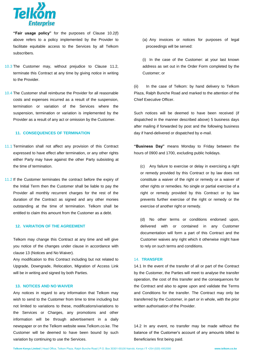

**"Fair usage policy"** for the purposes of Clause 10.2(f) above refers to a policy implemented by the Provider to facilitate equitable access to the Services by all Telkom subscribers.

- 10.3 The Customer may, without prejudice to Clause 11.2, terminate this Contract at any time by giving notice in writing to the Provider.
- 10.4 The Customer shall reimburse the Provider for all reasonable costs and expenses incurred as a result of the suspension, termination or variation of the Services where the suspension, termination or variation is implemented by the Provider as a result of any act or omission by the Customer.

# **11. CONSEQUENCES OF TERMINATION**

- 11.1 Termination shall not affect any provision of this Contract expressed to have effect after termination, or any other rights either Party may have against the other Party subsisting at the time of termination.
- 11.2 If the Customer terminates the contract before the expiry of the Initial Term then the Customer shall be liable to pay the Provider all monthly recurrent charges for the rest of the duration of the Contract as signed and any other monies outstanding at the time of termination. Telkom shall be entitled to claim this amount from the Customer as a debt.

# **12. VARIATION OF THE AGREEMENT**

Telkom may change this Contract at any time and will give you notice of the changes under clause in accordance with clause 13 (Notices and No Waiver).

Any modification to this Contract including but not related to Upgrade, Downgrade, Relocation, Migration of Access Link will be in writing and signed by both Parties.

# **13. NOTICES AND NO WAIVER**

Any notices in regard to any information that Telkom may wish to send to the Customer from time to time including but not limited to variations to these, modifications/variations to the Services or Charges, any promotions and other information will be through advertisement in a daily newspaper or on the Telkom website www.Telkom.co.ke. The Customer will be deemed to have been bound by such variation by continuing to use the Services.

- (a) Any invoices or notices for purposes of legal proceedings will be served:
- (i) In the case of the Customer: at your last known address as set out in the Order Form completed by the Customer; or

(ii) In the case of Telkom: by hand delivery to Telkom Plaza, Ralph Bunche Road and marked to the attention of the Chief Executive Officer.

Such notices will be deemed to have been received (if dispatched in the manner described above) 5 business days after mailing if forwarded by post and the following business day if hand-delivered or dispatched by e-mail.

**"Business Day"** means Monday to Friday between the hours of 0900 and 1700, excluding public holidays.

(c) Any failure to exercise or delay in exercising a right or remedy provided by this Contract or by law does not constitute a waiver of the right or remedy or a waiver of other rights or remedies. No single or partial exercise of a right or remedy provided by this Contract or by law prevents further exercise of the right or remedy or the exercise of another right or remedy.

(d) No other terms or conditions endorsed upon, delivered with or contained in any Customer documentation will form a part of this Contract and the Customer waives any right which it otherwise might have to rely on such terms and conditions.

#### 14. **TRANSFER**

14.1 In the event of the transfer of all or part of the Contract by the Customer, the Parties will meet to analyse the transfer operation, the cost of this transfer and the consequences for the Contract and also to agree upon and validate the Terms and Conditions for the transfer. The Contract may only be transferred by the Customer, in part or in whole, with the prior written authorisation of the Provider.

14.2 In any event, no transfer may be made without the balance of the Customer's account of any amounts billed to Beneficiaries first being paid.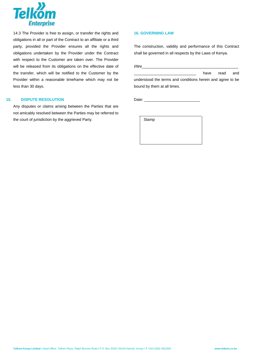

14.3 The Provider is free to assign, or transfer the rights and obligations in all or part of the Contract to an affiliate or a third party, provided the Provider ensures all the rights and obligations undertaken by the Provider under the Contract with respect to the Customer are taken over. The Provider will be released from its obligations on the effective date of the transfer, which will be notified to the Customer by the Provider within a reasonable timeframe which may not be less than 30 days.

# **15. DISPUTE RESOLUTION**

Any disputes or claims arising between the Parties that are not amicably resolved between the Parties may be referred to the court of jurisdiction by the aggrieved Party.

# **16. GOVERNING LAW**

The construction, validity and performance of this Contract shall be governed in all respects by the Laws of Kenya.

I/We

\_\_\_\_\_\_\_\_\_\_\_\_\_\_\_\_\_\_\_\_\_\_\_\_\_\_\_\_\_ have read and

understood the terms and conditions herein and agree to be bound by them at all times.

 $Date:$ 

Stamp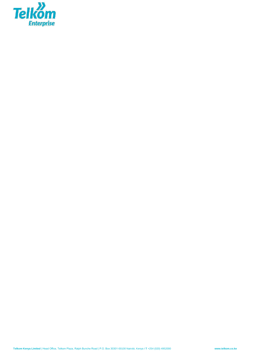